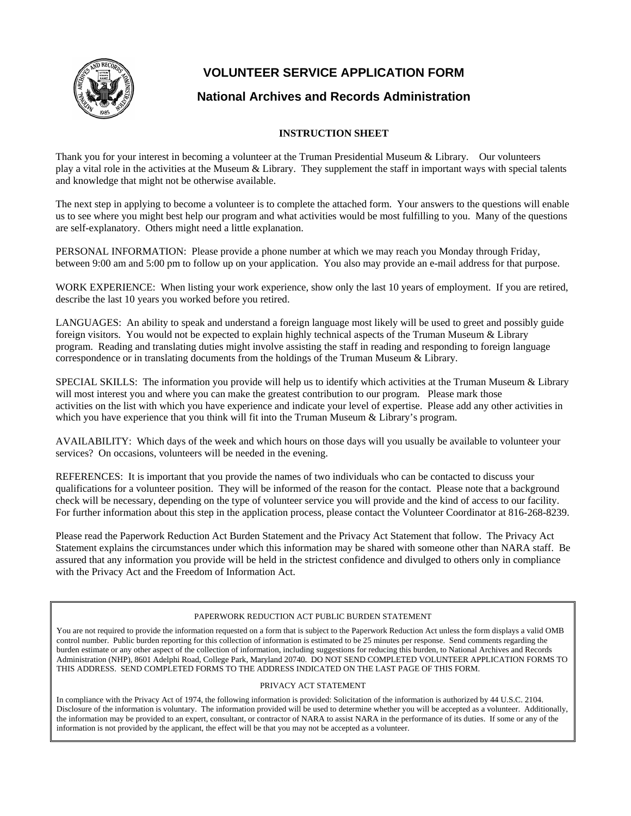

## **VOLUNTEER SERVICE APPLICATION FORM**

### **National Archives and Records Administration**

### **INSTRUCTION SHEET**

Thank you for your interest in becoming a volunteer at the Truman Presidential Museum & Library. Our volunteers play a vital role in the activities at the Museum & Library. They supplement the staff in important ways with special talents and knowledge that might not be otherwise available.

The next step in applying to become a volunteer is to complete the attached form. Your answers to the questions will enable us to see where you might best help our program and what activities would be most fulfilling to you. Many of the questions are self-explanatory. Others might need a little explanation.

PERSONAL INFORMATION: Please provide a phone number at which we may reach you Monday through Friday, between 9:00 am and 5:00 pm to follow up on your application. You also may provide an e-mail address for that purpose.

WORK EXPERIENCE: When listing your work experience, show only the last 10 years of employment. If you are retired, describe the last 10 years you worked before you retired.

LANGUAGES: An ability to speak and understand a foreign language most likely will be used to greet and possibly guide foreign visitors. You would not be expected to explain highly technical aspects of the Truman Museum & Library program. Reading and translating duties might involve assisting the staff in reading and responding to foreign language correspondence or in translating documents from the holdings of the Truman Museum & Library.

SPECIAL SKILLS: The information you provide will help us to identify which activities at the Truman Museum & Library will most interest you and where you can make the greatest contribution to our program. Please mark those activities on the list with which you have experience and indicate your level of expertise. Please add any other activities in which you have experience that you think will fit into the Truman Museum & Library's program.

AVAILABILITY: Which days of the week and which hours on those days will you usually be available to volunteer your services? On occasions, volunteers will be needed in the evening.

REFERENCES: It is important that you provide the names of two individuals who can be contacted to discuss your qualifications for a volunteer position. They will be informed of the reason for the contact. Please note that a background check will be necessary, depending on the type of volunteer service you will provide and the kind of access to our facility. For further information about this step in the application process, please contact the Volunteer Coordinator at 816-268-8239.

Please read the Paperwork Reduction Act Burden Statement and the Privacy Act Statement that follow. The Privacy Act Statement explains the circumstances under which this information may be shared with someone other than NARA staff. Be assured that any information you provide will be held in the strictest confidence and divulged to others only in compliance with the Privacy Act and the Freedom of Information Act.

#### PAPERWORK REDUCTION ACT PUBLIC BURDEN STATEMENT

You are not required to provide the information requested on a form that is subject to the Paperwork Reduction Act unless the form displays a valid OMB control number. Public burden reporting for this collection of information is estimated to be 25 minutes per response. Send comments regarding the burden estimate or any other aspect of the collection of information, including suggestions for reducing this burden, to National Archives and Records Administration (NHP), 8601 Adelphi Road, College Park, Maryland 20740. DO NOT SEND COMPLETED VOLUNTEER APPLICATION FORMS TO THIS ADDRESS. SEND COMPLETED FORMS TO THE ADDRESS INDICATED ON THE LAST PAGE OF THIS FORM.

#### PRIVACY ACT STATEMENT

In compliance with the Privacy Act of 1974, the following information is provided: Solicitation of the information is authorized by 44 U.S.C. 2104. Disclosure of the information is voluntary. The information provided will be used to determine whether you will be accepted as a volunteer. Additionally, the information may be provided to an expert, consultant, or contractor of NARA to assist NARA in the performance of its duties. If some or any of the information is not provided by the applicant, the effect will be that you may not be accepted as a volunteer.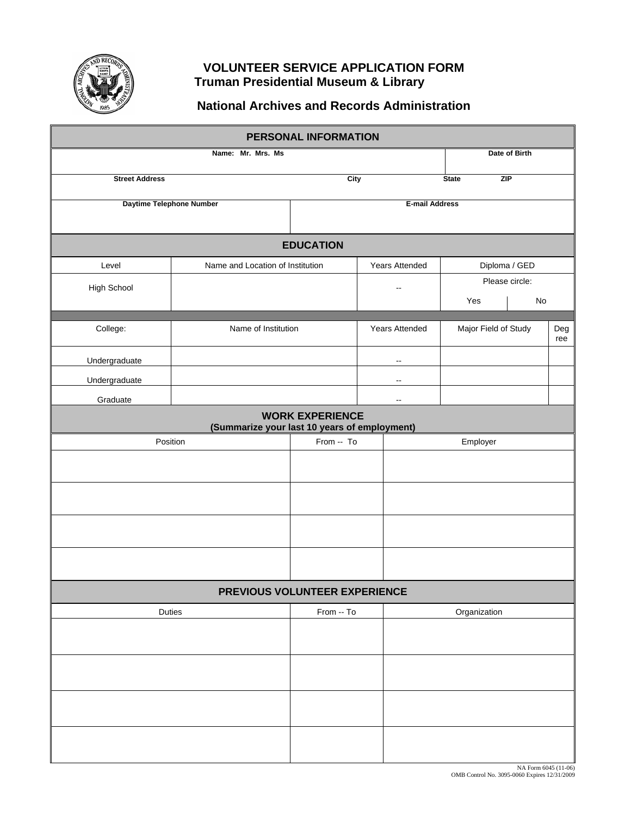

### **VOLUNTEER SERVICE APPLICATION FORM Truman Presidential Museum & Library**

# **National Archives and Records Administration**

| PERSONAL INFORMATION     |                                              |                        |                |                            |                |            |  |  |  |
|--------------------------|----------------------------------------------|------------------------|----------------|----------------------------|----------------|------------|--|--|--|
|                          | Date of Birth                                |                        |                |                            |                |            |  |  |  |
| <b>Street Address</b>    | City                                         |                        |                | <b>ZIP</b><br><b>State</b> |                |            |  |  |  |
| Daytime Telephone Number | <b>E-mail Address</b>                        |                        |                |                            |                |            |  |  |  |
|                          |                                              |                        |                |                            |                |            |  |  |  |
| <b>EDUCATION</b>         |                                              |                        |                |                            |                |            |  |  |  |
| Level                    | Name and Location of Institution             | Years Attended         |                | Diploma / GED              |                |            |  |  |  |
| High School              |                                              |                        |                | $\overline{\phantom{a}}$   | Please circle: |            |  |  |  |
|                          |                                              |                        |                |                            | Yes            | No         |  |  |  |
| College:                 | Name of Institution                          |                        | Years Attended | Major Field of Study       |                | Deg<br>ree |  |  |  |
| Undergraduate            |                                              |                        |                | $\overline{\phantom{a}}$   |                |            |  |  |  |
| Undergraduate            |                                              |                        |                | $\overline{\phantom{a}}$   |                |            |  |  |  |
| Graduate                 |                                              |                        |                | $\overline{\phantom{a}}$   |                |            |  |  |  |
|                          | (Summarize your last 10 years of employment) | <b>WORK EXPERIENCE</b> |                |                            |                |            |  |  |  |
| Position                 | From -- To                                   |                        |                | Employer                   |                |            |  |  |  |
|                          |                                              |                        |                |                            |                |            |  |  |  |
|                          |                                              |                        |                |                            |                |            |  |  |  |
|                          |                                              |                        |                |                            |                |            |  |  |  |
|                          |                                              |                        |                |                            |                |            |  |  |  |
|                          |                                              |                        |                |                            |                |            |  |  |  |
|                          | PREVIOUS VOLUNTEER EXPERIENCE                |                        |                |                            |                |            |  |  |  |
| Duties                   |                                              | From -- To             |                | Organization               |                |            |  |  |  |
|                          |                                              |                        |                |                            |                |            |  |  |  |
|                          |                                              |                        |                |                            |                |            |  |  |  |
|                          |                                              |                        |                |                            |                |            |  |  |  |
|                          |                                              |                        |                |                            |                |            |  |  |  |
|                          |                                              |                        |                |                            |                |            |  |  |  |